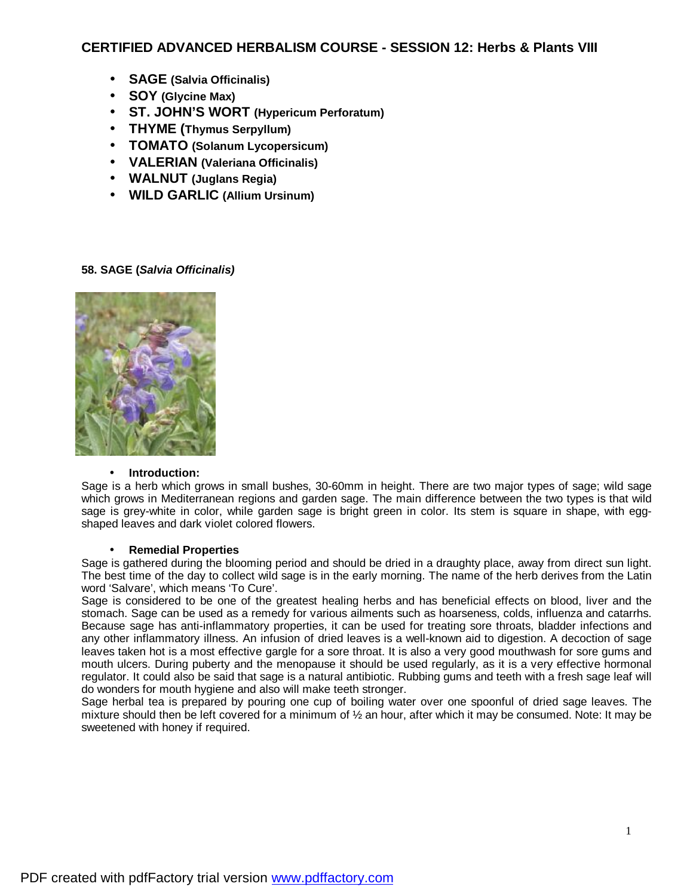# **CERTIFIED ADVANCED HERBALISM COURSE - SESSION 12: Herbs & Plants VIII**

- **SAGE (Salvia Officinalis)**
- **SOY (Glycine Max)**
- **ST. JOHN'S WORT (Hypericum Perforatum)**
- **THYME (Thymus Serpyllum)**
- **TOMATO (Solanum Lycopersicum)**
- **VALERIAN (Valeriana Officinalis)**
- **WALNUT (Juglans Regia)**
- **WILD GARLIC (Allium Ursinum)**

## **58. SAGE (***Salvia Officinalis)*



## • **Introduction:**

Sage is a herb which grows in small bushes, 30-60mm in height. There are two major types of sage; wild sage which grows in Mediterranean regions and garden sage. The main difference between the two types is that wild sage is grey-white in color, while garden sage is bright green in color. Its stem is square in shape, with eggshaped leaves and dark violet colored flowers.

## • **Remedial Properties**

Sage is gathered during the blooming period and should be dried in a draughty place, away from direct sun light. The best time of the day to collect wild sage is in the early morning. The name of the herb derives from the Latin word 'Salvare', which means 'To Cure'.

Sage is considered to be one of the greatest healing herbs and has beneficial effects on blood, liver and the stomach. Sage can be used as a remedy for various ailments such as hoarseness, colds, influenza and catarrhs. Because sage has anti-inflammatory properties, it can be used for treating sore throats, bladder infections and any other inflammatory illness. An infusion of dried leaves is a well-known aid to digestion. A decoction of sage leaves taken hot is a most effective gargle for a sore throat. It is also a very good mouthwash for sore gums and mouth ulcers. During puberty and the menopause it should be used regularly, as it is a very effective hormonal regulator. It could also be said that sage is a natural antibiotic. Rubbing gums and teeth with a fresh sage leaf will do wonders for mouth hygiene and also will make teeth stronger.

Sage herbal tea is prepared by pouring one cup of boiling water over one spoonful of dried sage leaves. The mixture should then be left covered for a minimum of ½ an hour, after which it may be consumed. Note: It may be sweetened with honey if required.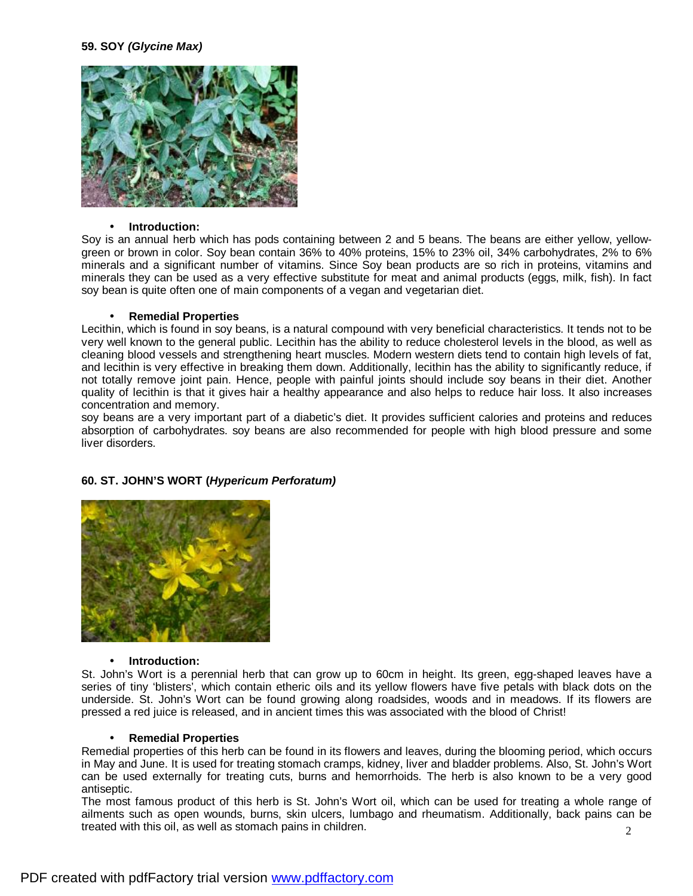### **59. SOY** *(Glycine Max)*



#### • **Introduction:**

Soy is an annual herb which has pods containing between 2 and 5 beans. The beans are either yellow, yellowgreen or brown in color. Soy bean contain 36% to 40% proteins, 15% to 23% oil, 34% carbohydrates, 2% to 6% minerals and a significant number of vitamins. Since Soy bean products are so rich in proteins, vitamins and minerals they can be used as a very effective substitute for meat and animal products (eggs, milk, fish). In fact soy bean is quite often one of main components of a vegan and vegetarian diet.

#### • **Remedial Properties**

Lecithin, which is found in soy beans, is a natural compound with very beneficial characteristics. It tends not to be very well known to the general public. Lecithin has the ability to reduce cholesterol levels in the blood, as well as cleaning blood vessels and strengthening heart muscles. Modern western diets tend to contain high levels of fat, and lecithin is very effective in breaking them down. Additionally, lecithin has the ability to significantly reduce, if not totally remove joint pain. Hence, people with painful joints should include soy beans in their diet. Another quality of lecithin is that it gives hair a healthy appearance and also helps to reduce hair loss. It also increases concentration and memory.

soy beans are a very important part of a diabetic's diet. It provides sufficient calories and proteins and reduces absorption of carbohydrates. soy beans are also recommended for people with high blood pressure and some liver disorders.

### **60. ST. JOHN'S WORT (***Hypericum Perforatum)*



#### • **Introduction:**

St. John's Wort is a perennial herb that can grow up to 60cm in height. Its green, egg-shaped leaves have a series of tiny 'blisters', which contain etheric oils and its yellow flowers have five petals with black dots on the underside. St. John's Wort can be found growing along roadsides, woods and in meadows. If its flowers are pressed a red juice is released, and in ancient times this was associated with the blood of Christ!

#### • **Remedial Properties**

Remedial properties of this herb can be found in its flowers and leaves, during the blooming period, which occurs in May and June. It is used for treating stomach cramps, kidney, liver and bladder problems. Also, St. John's Wort can be used externally for treating cuts, burns and hemorrhoids. The herb is also known to be a very good antiseptic.

2 The most famous product of this herb is St. John's Wort oil, which can be used for treating a whole range of ailments such as open wounds, burns, skin ulcers, lumbago and rheumatism. Additionally, back pains can be treated with this oil, as well as stomach pains in children.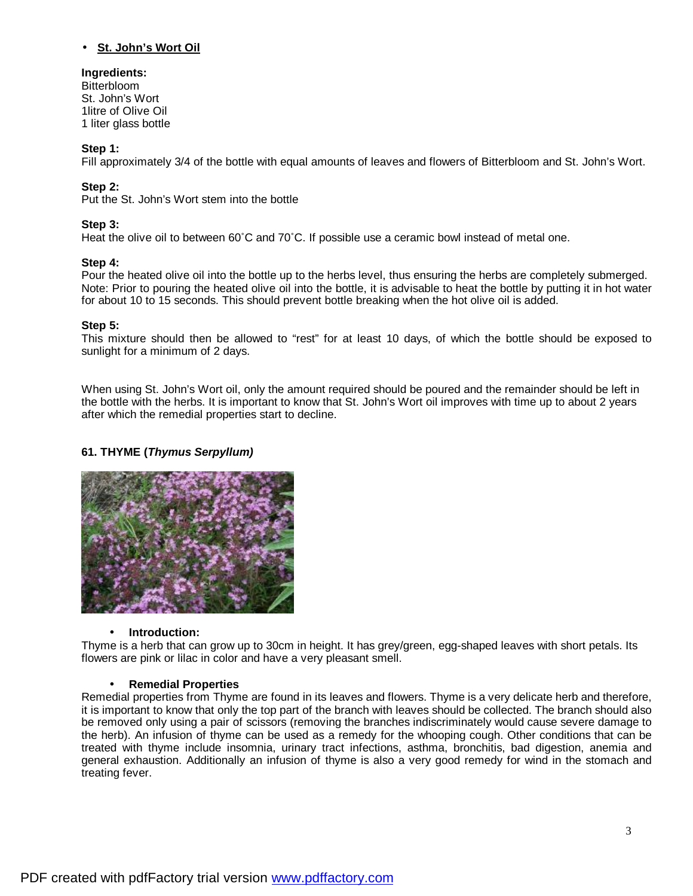# **Ingredients:**

**Bitterbloom** St. John's Wort 1litre of Olive Oil 1 liter glass bottle

## **Step 1:**

Fill approximately 3/4 of the bottle with equal amounts of leaves and flowers of Bitterbloom and St. John's Wort.

## **Step 2:**

Put the St. John's Wort stem into the bottle

## **Step 3:**

Heat the olive oil to between 60˚C and 70˚C. If possible use a ceramic bowl instead of metal one.

## **Step 4:**

Pour the heated olive oil into the bottle up to the herbs level, thus ensuring the herbs are completely submerged. Note: Prior to pouring the heated olive oil into the bottle, it is advisable to heat the bottle by putting it in hot water for about 10 to 15 seconds. This should prevent bottle breaking when the hot olive oil is added.

## **Step 5:**

This mixture should then be allowed to "rest" for at least 10 days, of which the bottle should be exposed to sunlight for a minimum of 2 days.

When using St. John's Wort oil, only the amount required should be poured and the remainder should be left in the bottle with the herbs. It is important to know that St. John's Wort oil improves with time up to about 2 years after which the remedial properties start to decline.

## **61. THYME (***Thymus Serpyllum)*



## • **Introduction:**

Thyme is a herb that can grow up to 30cm in height. It has grey/green, egg-shaped leaves with short petals. Its flowers are pink or lilac in color and have a very pleasant smell.

## • **Remedial Properties**

Remedial properties from Thyme are found in its leaves and flowers. Thyme is a very delicate herb and therefore, it is important to know that only the top part of the branch with leaves should be collected. The branch should also be removed only using a pair of scissors (removing the branches indiscriminately would cause severe damage to the herb). An infusion of thyme can be used as a remedy for the whooping cough. Other conditions that can be treated with thyme include insomnia, urinary tract infections, asthma, bronchitis, bad digestion, anemia and general exhaustion. Additionally an infusion of thyme is also a very good remedy for wind in the stomach and treating fever.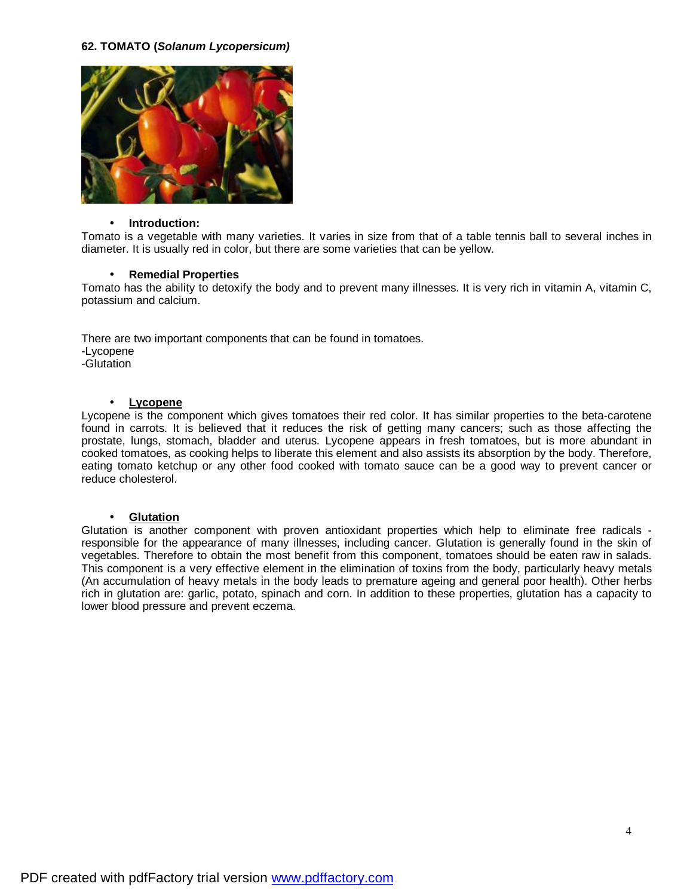## **62. TOMATO (***Solanum Lycopersicum)*



### • **Introduction:**

Tomato is a vegetable with many varieties. It varies in size from that of a table tennis ball to several inches in diameter. It is usually red in color, but there are some varieties that can be yellow.

### • **Remedial Properties**

Tomato has the ability to detoxify the body and to prevent many illnesses. It is very rich in vitamin A, vitamin C, potassium and calcium.

There are two important components that can be found in tomatoes. -Lycopene -Glutation

### • **Lycopene**

Lycopene is the component which gives tomatoes their red color. It has similar properties to the beta-carotene found in carrots. It is believed that it reduces the risk of getting many cancers; such as those affecting the prostate, lungs, stomach, bladder and uterus. Lycopene appears in fresh tomatoes, but is more abundant in cooked tomatoes, as cooking helps to liberate this element and also assists its absorption by the body. Therefore, eating tomato ketchup or any other food cooked with tomato sauce can be a good way to prevent cancer or reduce cholesterol.

### • **Glutation**

Glutation is another component with proven antioxidant properties which help to eliminate free radicals responsible for the appearance of many illnesses, including cancer. Glutation is generally found in the skin of vegetables. Therefore to obtain the most benefit from this component, tomatoes should be eaten raw in salads. This component is a very effective element in the elimination of toxins from the body, particularly heavy metals (An accumulation of heavy metals in the body leads to premature ageing and general poor health). Other herbs rich in glutation are: garlic, potato, spinach and corn. In addition to these properties, glutation has a capacity to lower blood pressure and prevent eczema.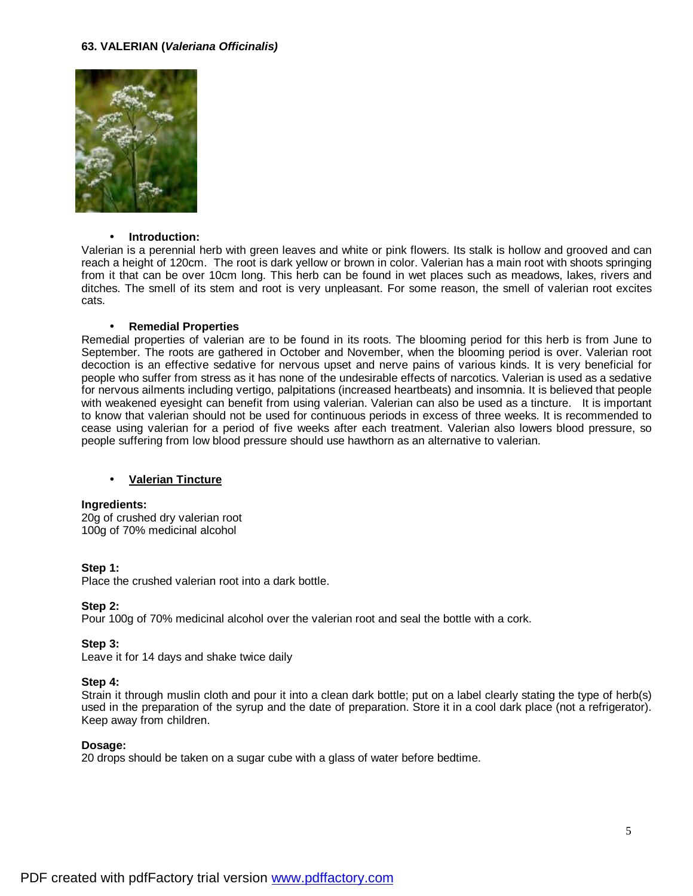### **63. VALERIAN (***Valeriana Officinalis)*



#### • **Introduction:**

Valerian is a perennial herb with green leaves and white or pink flowers. Its stalk is hollow and grooved and can reach a height of 120cm. The root is dark yellow or brown in color. Valerian has a main root with shoots springing from it that can be over 10cm long. This herb can be found in wet places such as meadows, lakes, rivers and ditches. The smell of its stem and root is very unpleasant. For some reason, the smell of valerian root excites cats.

#### • **Remedial Properties**

Remedial properties of valerian are to be found in its roots. The blooming period for this herb is from June to September. The roots are gathered in October and November, when the blooming period is over. Valerian root decoction is an effective sedative for nervous upset and nerve pains of various kinds. It is very beneficial for people who suffer from stress as it has none of the undesirable effects of narcotics. Valerian is used as a sedative for nervous ailments including vertigo, palpitations (increased heartbeats) and insomnia. It is believed that people with weakened eyesight can benefit from using valerian. Valerian can also be used as a tincture. It is important to know that valerian should not be used for continuous periods in excess of three weeks. It is recommended to cease using valerian for a period of five weeks after each treatment. Valerian also lowers blood pressure, so people suffering from low blood pressure should use hawthorn as an alternative to valerian.

### • **Valerian Tincture**

#### **Ingredients:**

20g of crushed dry valerian root 100g of 70% medicinal alcohol

#### **Step 1:**

Place the crushed valerian root into a dark bottle.

#### **Step 2:**

Pour 100g of 70% medicinal alcohol over the valerian root and seal the bottle with a cork.

#### **Step 3:**

Leave it for 14 days and shake twice daily

#### **Step 4:**

Strain it through muslin cloth and pour it into a clean dark bottle; put on a label clearly stating the type of herb(s) used in the preparation of the syrup and the date of preparation. Store it in a cool dark place (not a refrigerator). Keep away from children.

#### **Dosage:**

20 drops should be taken on a sugar cube with a glass of water before bedtime.

5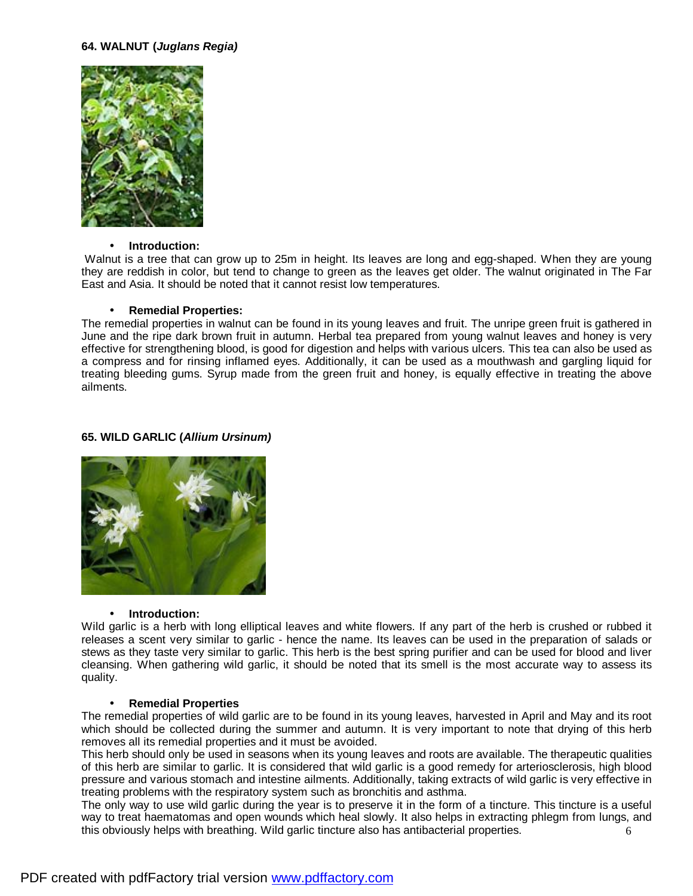### **64. WALNUT (***Juglans Regia)*



### • **Introduction:**

Walnut is a tree that can grow up to 25m in height. Its leaves are long and egg-shaped. When they are young they are reddish in color, but tend to change to green as the leaves get older. The walnut originated in The Far East and Asia. It should be noted that it cannot resist low temperatures.

#### • **Remedial Properties:**

The remedial properties in walnut can be found in its young leaves and fruit. The unripe green fruit is gathered in June and the ripe dark brown fruit in autumn. Herbal tea prepared from young walnut leaves and honey is very effective for strengthening blood, is good for digestion and helps with various ulcers. This tea can also be used as a compress and for rinsing inflamed eyes. Additionally, it can be used as a mouthwash and gargling liquid for treating bleeding gums. Syrup made from the green fruit and honey, is equally effective in treating the above ailments.

## **65. WILD GARLIC (***Allium Ursinum)*



#### • **Introduction:**

Wild garlic is a herb with long elliptical leaves and white flowers. If any part of the herb is crushed or rubbed it releases a scent very similar to garlic - hence the name. Its leaves can be used in the preparation of salads or stews as they taste very similar to garlic. This herb is the best spring purifier and can be used for blood and liver cleansing. When gathering wild garlic, it should be noted that its smell is the most accurate way to assess its quality.

#### • **Remedial Properties**

The remedial properties of wild garlic are to be found in its young leaves, harvested in April and May and its root which should be collected during the summer and autumn. It is very important to note that drying of this herb removes all its remedial properties and it must be avoided.

This herb should only be used in seasons when its young leaves and roots are available. The therapeutic qualities of this herb are similar to garlic. It is considered that wild garlic is a good remedy for arteriosclerosis, high blood pressure and various stomach and intestine ailments. Additionally, taking extracts of wild garlic is very effective in treating problems with the respiratory system such as bronchitis and asthma.

6 The only way to use wild garlic during the year is to preserve it in the form of a tincture. This tincture is a useful way to treat haematomas and open wounds which heal slowly. It also helps in extracting phlegm from lungs, and this obviously helps with breathing. Wild garlic tincture also has antibacterial properties.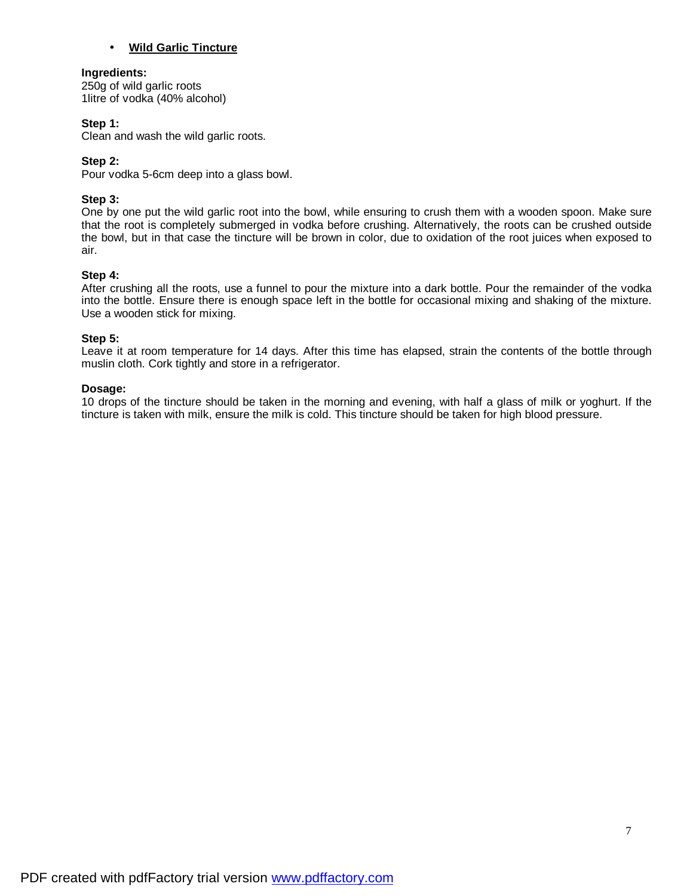## • **Wild Garlic Tincture**

### **Ingredients:**

250g of wild garlic roots 1litre of vodka (40% alcohol)

## **Step 1:**

Clean and wash the wild garlic roots.

## **Step 2:**

Pour vodka 5-6cm deep into a glass bowl.

## **Step 3:**

One by one put the wild garlic root into the bowl, while ensuring to crush them with a wooden spoon. Make sure that the root is completely submerged in vodka before crushing. Alternatively, the roots can be crushed outside the bowl, but in that case the tincture will be brown in color, due to oxidation of the root juices when exposed to air.

### **Step 4:**

After crushing all the roots, use a funnel to pour the mixture into a dark bottle. Pour the remainder of the vodka into the bottle. Ensure there is enough space left in the bottle for occasional mixing and shaking of the mixture. Use a wooden stick for mixing.

### **Step 5:**

Leave it at room temperature for 14 days. After this time has elapsed, strain the contents of the bottle through muslin cloth. Cork tightly and store in a refrigerator.

### **Dosage:**

10 drops of the tincture should be taken in the morning and evening, with half a glass of milk or yoghurt. If the tincture is taken with milk, ensure the milk is cold. This tincture should be taken for high blood pressure.